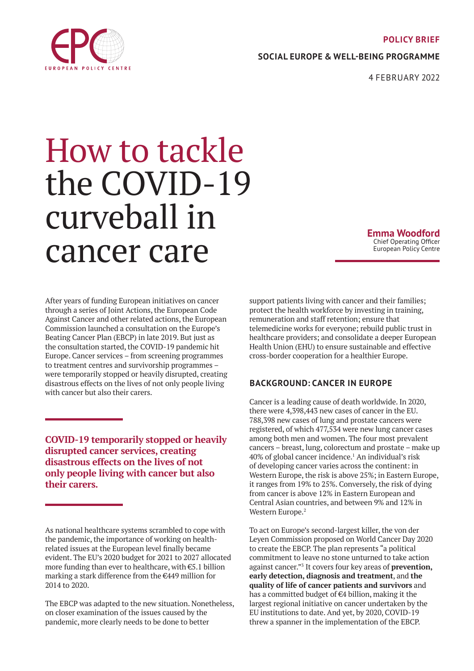#### **POLICY BRIEF**

**SOCIAL EUROPE & WELL-BEING PROGRAMME**

4 FEBRUARY 2022

# How to tackle the COVID-19 curveball in cancer care

**Emma Woodford** Chief Operating Officer European Policy Centre

After years of funding European initiatives on cancer through a series of Joint Actions, the European Code Against Cancer and other related actions, the European Commission launched a consultation on the Europe's Beating Cancer Plan (EBCP) in late 2019. But just as the consultation started, the COVID-19 pandemic hit Europe. Cancer services – from screening programmes to treatment centres and survivorship programmes – were temporarily stopped or heavily disrupted, creating disastrous effects on the lives of not only people living with cancer but also their carers.

**COVID-19 temporarily stopped or heavily disrupted cancer services, creating disastrous effects on the lives of not only people living with cancer but also their carers.**

As national healthcare systems scrambled to cope with the pandemic, the importance of working on healthrelated issues at the European level finally became evident. The EU's 2020 budget for 2021 to 2027 allocated more funding than ever to healthcare, with €5.1 billion marking a stark difference from the €449 million for 2014 to 2020.

The EBCP was adapted to the new situation. Nonetheless, on closer examination of the issues caused by the pandemic, more clearly needs to be done to better

support patients living with cancer and their families; protect the health workforce by investing in training, remuneration and staff retention; ensure that telemedicine works for everyone; rebuild public trust in healthcare providers; and consolidate a deeper European Health Union (EHU) to ensure sustainable and effective cross-border cooperation for a healthier Europe.

#### **BACKGROUND: CANCER IN EUROPE**

Cancer is a leading cause of death worldwide. In 2020, there were 4,398,443 new cases of cancer in the EU. 788,398 new cases of lung and prostate cancers were registered, of which 477,534 were new lung cancer cases among both men and women. The four most prevalent cancers – breast, lung, colorectum and prostate – make up 40% of global cancer incidence.<sup>1</sup> An individual's risk of developing cancer varies across the continent: in Western Europe, the risk is above 25%; in Eastern Europe, it ranges from 19% to 25%. Conversely, the risk of dying from cancer is above 12% in Eastern European and Central Asian countries, and between 9% and 12% in Western Europe.<sup>2</sup>

To act on Europe's second-largest killer, the von der Leyen Commission proposed on World Cancer Day 2020 to create the EBCP. The plan represents "a political commitment to leave no stone unturned to take action against cancer."3 It covers four key areas of **prevention, early detection, diagnosis and treatment**, and **the quality of life of cancer patients and survivors** and has a committed budget of  $€4$  billion, making it the largest regional initiative on cancer undertaken by the EU institutions to date. And yet, by 2020, COVID-19 threw a spanner in the implementation of the EBCP.

<span id="page-0-0"></span>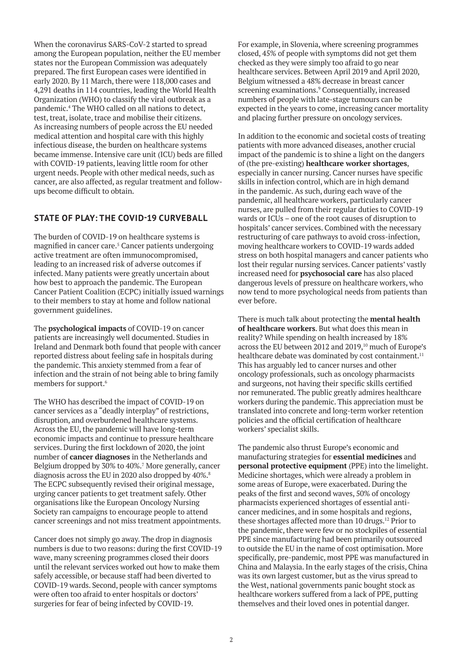When the coronavirus SARS-CoV-2 started to spread among the European population, neither the EU member states nor the European Commission was adequately prepared. The first European cases were identified in early 2020. By 11 March, there were 118,000 cases and 4,291 deaths in 114 countries, leading the World Health Organization (WHO) to classify the viral outbreak as a pandemic.4 The WHO called on all nations to detect, test, treat, isolate, trace and mobilise their citizens. As increasing numbers of people across the EU needed medical attention and hospital care with this highly infectious disease, the burden on healthcare systems became immense. Intensive care unit (ICU) beds are filled with COVID-19 patients, leaving little room for other urgent needs. People with other medical needs, such as cancer, are also affected, as regular treatment and followups become difficult to obtain.

### **STATE OF PLAY: THE COVID-19 CURVEBALL**

The burden of COVID-19 on healthcare systems is magnified in cancer care.<sup>5</sup> Cancer patients undergoing active treatment are often immunocompromised, leading to an increased risk of adverse outcomes if infected. Many patients were greatly uncertain about how best to approach the pandemic. The European Cancer Patient Coalition (ECPC) initially issued warnings to their members to stay at home and follow national government guidelines.

The **psychological impacts** of COVID-19 on cancer patients are increasingly well documented. Studies in Ireland and Denmark both found that people with cancer reported distress about feeling safe in hospitals during the pandemic. This anxiety stemmed from a fear of infection and the strain of not being able to bring family members for support.<sup>6</sup>

The WHO has described the impact of COVID-19 on cancer services as a "deadly interplay" of restrictions, disruption, and overburdened healthcare systems. Across the EU, the pandemic will have long-term economic impacts and continue to pressure healthcare services. During the first lockdown of 2020, the joint number of **cancer diagnoses** in the Netherlands and Belgium dropped by 30% to 40%.<sup>7</sup> More generally, cancer diagnosis across the EU in 2020 also dropped by 40%.<sup>8</sup> The ECPC subsequently revised their original message, urging cancer patients to get treatment safely. Other organisations like the European Oncology Nursing Society ran campaigns to encourage people to attend cancer screenings and not miss treatment appointments.

Cancer does not simply go away. The drop in diagnosis numbers is due to two reasons: during the first COVID-19 wave, many screening programmes closed their doors until the relevant services worked out how to make them safely accessible, or because staff had been diverted to COVID-19 wards. Second, people with cancer symptoms were often too afraid to enter hospitals or doctors' surgeries for fear of being infected by COVID-19.

For example, in Slovenia, where screening programmes closed, 45% of people with symptoms did not get them checked as they were simply too afraid to go near healthcare services. Between April 2019 and April 2020, Belgium witnessed a 48% decrease in breast cancer screening examinations.<sup>9</sup> Consequentially, increased numbers of people with late-stage tumours can be expected in the years to come, increasing cancer mortality and placing further pressure on oncology services.

In addition to the economic and societal costs of treating patients with more advanced diseases, another crucial impact of the pandemic is to shine a light on the dangers of (the pre-existing) **healthcare worker shortages**, especially in cancer nursing. Cancer nurses have specific skills in infection control, which are in high demand in the pandemic. As such, during each wave of the pandemic, all healthcare workers, particularly cancer nurses, are pulled from their regular duties to COVID-19 wards or ICUs – one of the root causes of disruption to hospitals' cancer services. Combined with the necessary restructuring of care pathways to avoid cross-infection, moving healthcare workers to COVID-19 wards added stress on both hospital managers and cancer patients who lost their regular nursing services. Cancer patients' vastly increased need for **psychosocial care** has also placed dangerous levels of pressure on healthcare workers, who now tend to more psychological needs from patients than ever before.

There is much talk about protecting the **mental health of healthcare workers**. But what does this mean in reality? While spending on health increased by 18% across the EU between 2012 and 2019.<sup>10</sup> much of Europe's healthcare debate was dominated by cost containment.<sup>11</sup> This has arguably led to cancer nurses and other oncology professionals, such as oncology pharmacists and surgeons, not having their specific skills certified nor remunerated. The public greatly admires healthcare workers during the pandemic. This appreciation must be translated into concrete and long-term worker retention policies and the official certification of healthcare workers' specialist skills.

The pandemic also thrust Europe's economic and manufacturing strategies for **essential medicines** and **personal protective equipment** (PPE) into the limelight. Medicine shortages, which were already a problem in some areas of Europe, were exacerbated. During the peaks of the first and second waves, 50% of oncology pharmacists experienced shortages of essential anticancer medicines, and in some hospitals and regions, these shortages affected more than 10 drugs.<sup>12</sup> Prior to the pandemic, there were few or no stockpiles of essential PPE since manufacturing had been primarily outsourced to outside the EU in the name of cost optimisation. More specifically, pre-pandemic, most PPE was manufactured in China and Malaysia. In the early stages of the crisis, China was its own largest customer, but as the virus spread to the West, national governments panic bought stock as healthcare workers suffered from a lack of PPE, putting themselves and their loved ones in potential danger.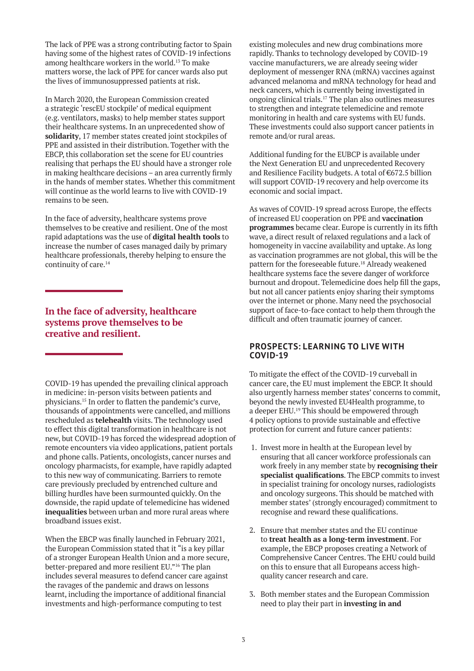The lack of PPE was a strong contributing factor to Spain having some of the highest rates of COVID-19 infections among healthcare workers in the world.13 To make matters worse, the lack of PPE for cancer wards also put the lives of immunosuppressed patients at risk.

In March 2020, the European Commission created a strategic 'rescEU stockpile' of medical equipment (e.g. ventilators, masks) to help member states support their healthcare systems. In an unprecedented show of **solidarity**, 17 member states created joint stockpiles of PPE and assisted in their distribution. Together with the EBCP, this collaboration set the scene for EU countries realising that perhaps the EU should have a stronger role in making healthcare decisions – an area currently firmly in the hands of member states. Whether this commitment will continue as the world learns to live with COVID-19 remains to be seen.

In the face of adversity, healthcare systems prove themselves to be creative and resilient. One of the most rapid adaptations was the use of **digital health tools** to increase the number of cases managed daily by primary healthcare professionals, thereby helping to ensure the continuity of care.<sup>14</sup>

## **In the face of adversity, healthcare systems prove themselves to be creative and resilient.**

COVID-19 has upended the prevailing clinical approach in medicine: in-person visits between patients and physicians.15 In order to flatten the pandemic's curve, thousands of appointments were cancelled, and millions rescheduled as **telehealth** visits. The technology used to effect this digital transformation in healthcare is not new, but COVID-19 has forced the widespread adoption of remote encounters via video applications, patient portals and phone calls. Patients, oncologists, cancer nurses and oncology pharmacists, for example, have rapidly adapted to this new way of communicating. Barriers to remote care previously precluded by entrenched culture and billing hurdles have been surmounted quickly. On the downside, the rapid update of telemedicine has widened **inequalities** between urban and more rural areas where broadband issues exist.

When the EBCP was finally launched in February 2021, the European Commission stated that it "is a key pillar of a stronger European Health Union and a more secure, better-prepared and more resilient EU."16 The plan includes several measures to defend cancer care against the ravages of the pandemic and draws on lessons learnt, including the importance of additional financial investments and high-performance computing to test

existing molecules and new drug combinations more rapidly. Thanks to technology developed by COVID-19 vaccine manufacturers, we are already seeing wider deployment of messenger RNA (mRNA) vaccines against advanced melanoma and mRNA technology for head and neck cancers, which is currently being investigated in ongoing clinical trials.17 The plan also outlines measures to strengthen and integrate telemedicine and remote monitoring in health and care systems with EU funds. These investments could also support cancer patients in remote and/or rural areas.

Additional funding for the EUBCP is available under the Next Generation EU and unprecedented Recovery and Resilience Facility budgets. A total of €672.5 billion will support COVID-19 recovery and help overcome its economic and social impact.

As waves of COVID-19 spread across Europe, the effects of increased EU cooperation on PPE and **vaccination programmes** became clear. Europe is currently in its fifth wave, a direct result of relaxed regulations and a lack of homogeneity in vaccine availability and uptake. As long as vaccination programmes are not global, this will be the pattern for the foreseeable future.<sup>18</sup> Already weakened healthcare systems face the severe danger of workforce burnout and dropout. Telemedicine does help fill the gaps, but not all cancer patients enjoy sharing their symptoms over the internet or phone. Many need the psychosocial support of face-to-face contact to help them through the difficult and often traumatic journey of cancer.

#### **PROSPECTS: LEARNING TO LIVE WITH COVID-19**

To mitigate the effect of the COVID-19 curveball in cancer care, the EU must implement the EBCP. It should also urgently harness member states' concerns to commit, beyond the newly invested EU4Health programme, to a deeper EHU.19 This should be empowered through 4 policy options to provide sustainable and effective protection for current and future cancer patients:

- 1. Invest more in health at the European level by ensuring that all cancer workforce professionals can work freely in any member state by **recognising their specialist qualifications**. The EBCP commits to invest in specialist training for oncology nurses, radiologists and oncology surgeons. This should be matched with member states' (strongly encouraged) commitment to recognise and reward these qualifications.
- 2. Ensure that member states and the EU continue to **treat health as a long-term investment**. For example, the EBCP proposes creating a Network of Comprehensive Cancer Centres. The EHU could build on this to ensure that all Europeans access highquality cancer research and care.
- 3. Both member states and the European Commission need to play their part in **investing in and**